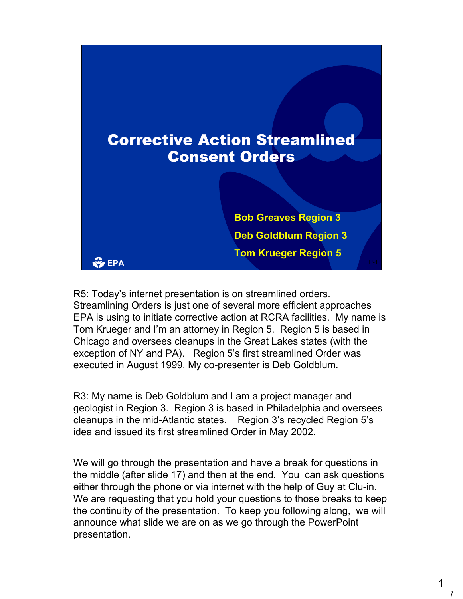

R5: Today's internet presentation is on streamlined orders. Streamlining Orders is just one of several more efficient approaches EPA is using to initiate corrective action at RCRA facilities. My name is Tom Krueger and I'm an attorney in Region 5. Region 5 is based in Chicago and oversees cleanups in the Great Lakes states (with the exception of NY and PA). Region 5's first streamlined Order was executed in August 1999. My co-presenter is Deb Goldblum.

R3: My name is Deb Goldblum and I am a project manager and geologist in Region 3. Region 3 is based in Philadelphia and oversees cleanups in the mid-Atlantic states. Region 3's recycled Region 5's idea and issued its first streamlined Order in May 2002.

We will go through the presentation and have a break for questions in the middle (after slide 17) and then at the end. You can ask questions either through the phone or via internet with the help of Guy at Clu-in. We are requesting that you hold your questions to those breaks to keep the continuity of the presentation. To keep you following along, we will announce what slide we are on as we go through the PowerPoint presentation.

*1*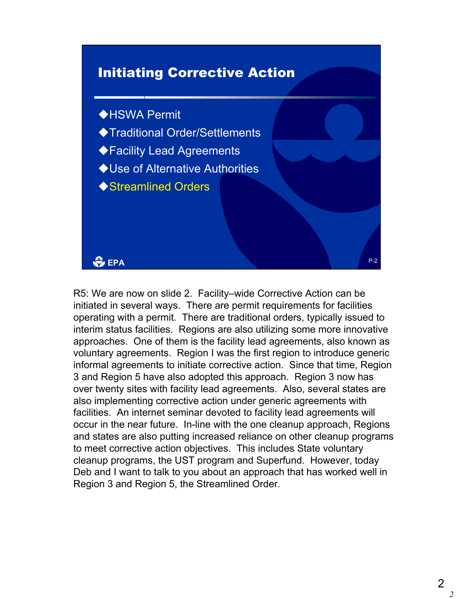

R5: We are now on slide 2. Facility–wide Corrective Action can be initiated in several ways. There are permit requirements for facilities operating with a permit. There are traditional orders, typically issued to interim status facilities. Regions are also utilizing some more innovative approaches. One of them is the facility lead agreements, also known as voluntary agreements. Region I was the first region to introduce generic informal agreements to initiate corrective action. Since that time, Region 3 and Region 5 have also adopted this approach. Region 3 now has over twenty sites with facility lead agreements. Also, several states are also implementing corrective action under generic agreements with facilities. An internet seminar devoted to facility lead agreements will occur in the near future. In-line with the one cleanup approach, Regions and states are also putting increased reliance on other cleanup programs to meet corrective action objectives. This includes State voluntary cleanup programs, the UST program and Superfund. However, today Deb and I want to talk to you about an approach that has worked well in Region 3 and Region 5, the Streamlined Order.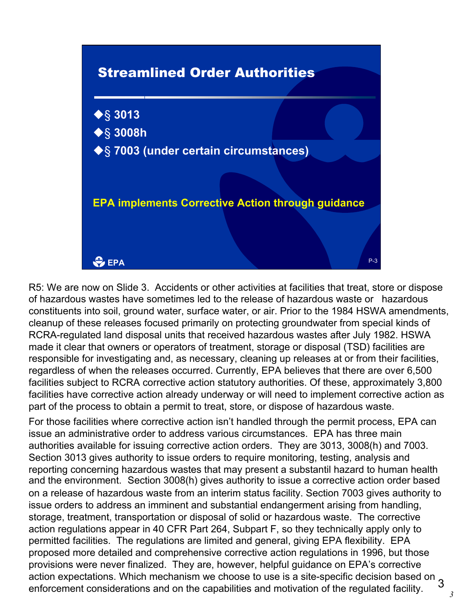

R5: We are now on Slide 3. Accidents or other activities at facilities that treat, store or dispose of hazardous wastes have sometimes led to the release of hazardous waste or hazardous constituents into soil, ground water, surface water, or air. Prior to the 1984 HSWA amendments, cleanup of these releases focused primarily on protecting groundwater from special kinds of RCRA-regulated land disposal units that received hazardous wastes after July 1982. HSWA made it clear that owners or operators of treatment, storage or disposal (TSD) facilities are responsible for investigating and, as necessary, cleaning up releases at or from their facilities, regardless of when the releases occurred. Currently, EPA believes that there are over 6,500 facilities subject to RCRA corrective action statutory authorities. Of these, approximately 3,800 facilities have corrective action already underway or will need to implement corrective action as part of the process to obtain a permit to treat, store, or dispose of hazardous waste.

For those facilities where corrective action isn't handled through the permit process, EPA can issue an administrative order to address various circumstances. EPA has three main authorities available for issuing corrective action orders. They are 3013, 3008(h) and 7003. Section 3013 gives authority to issue orders to require monitoring, testing, analysis and reporting concerning hazardous wastes that may present a substantil hazard to human health and the environment. Section 3008(h) gives authority to issue a corrective action order based on a release of hazardous waste from an interim status facility. Section 7003 gives authority to issue orders to address an imminent and substantial endangerment arising from handling, storage, treatment, transportation or disposal of solid or hazardous waste. The corrective action regulations appear in 40 CFR Part 264, Subpart F, so they technically apply only to permitted facilities. The regulations are limited and general, giving EPA flexibility. EPA proposed more detailed and comprehensive corrective action regulations in 1996, but those provisions were never finalized. They are, however, helpful guidance on EPA's corrective action expectations. Which mechanism we choose to use is a site-specific decision based on enforcement considerations and on the capabilities and motivation of the regulated facility.<sup>3</sup>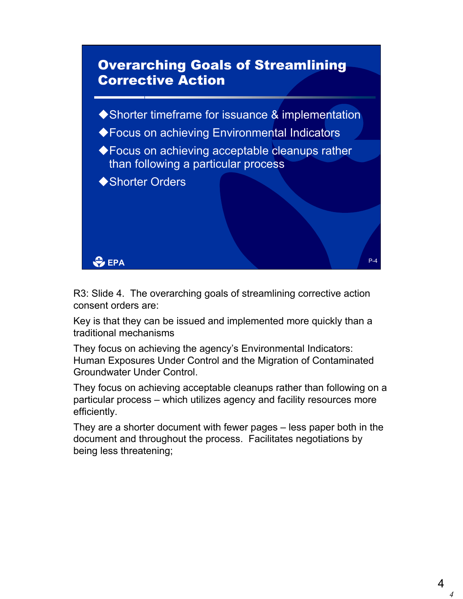

R3: Slide 4. The overarching goals of streamlining corrective action consent orders are:

Key is that they can be issued and implemented more quickly than a traditional mechanisms

They focus on achieving the agency's Environmental Indicators: Human Exposures Under Control and the Migration of Contaminated Groundwater Under Control.

They focus on achieving acceptable cleanups rather than following on a particular process – which utilizes agency and facility resources more efficiently.

They are a shorter document with fewer pages – less paper both in the document and throughout the process. Facilitates negotiations by being less threatening;

*4*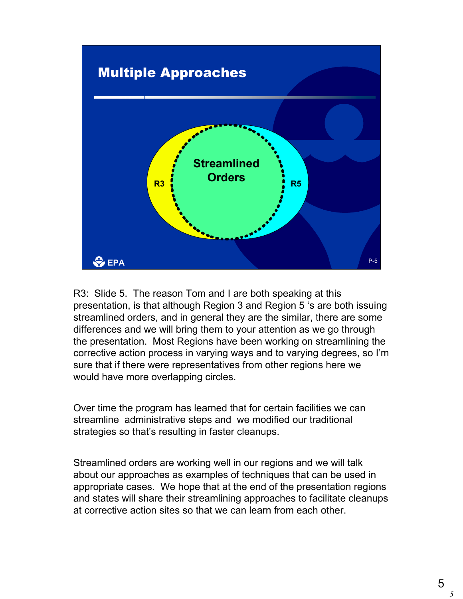

R3: Slide 5. The reason Tom and I are both speaking at this presentation, is that although Region 3 and Region 5 "s are both issuing streamlined orders, and in general they are the similar, there are some differences and we will bring them to your attention as we go through the presentation. Most Regions have been working on streamlining the corrective action process in varying ways and to varying degrees, so I'm sure that if there were representatives from other regions here we would have more overlapping circles.

Over time the program has learned that for certain facilities we can streamline administrative steps and we modified our traditional strategies so that's resulting in faster cleanups.

Streamlined orders are working well in our regions and we will talk about our approaches as examples of techniques that can be used in appropriate cases. We hope that at the end of the presentation regions and states will share their streamlining approaches to facilitate cleanups at corrective action sites so that we can learn from each other.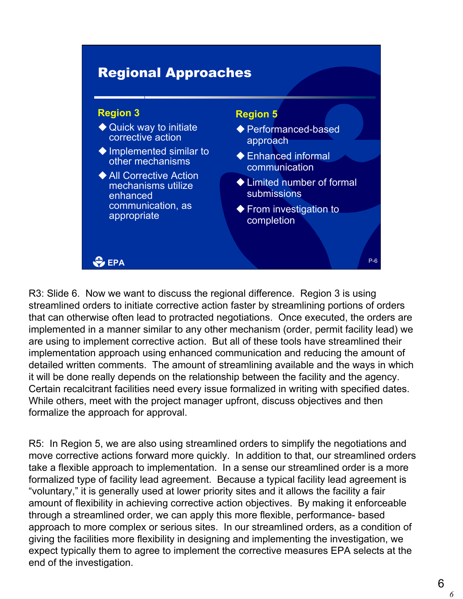

R3: Slide 6. Now we want to discuss the regional difference. Region 3 is using streamlined orders to initiate corrective action faster by streamlining portions of orders that can otherwise often lead to protracted negotiations. Once executed, the orders are implemented in a manner similar to any other mechanism (order, permit facility lead) we are using to implement corrective action. But all of these tools have streamlined their implementation approach using enhanced communication and reducing the amount of detailed written comments. The amount of streamlining available and the ways in which it will be done really depends on the relationship between the facility and the agency. Certain recalcitrant facilities need every issue formalized in writing with specified dates. While others, meet with the project manager upfront, discuss objectives and then formalize the approach for approval.

R5: In Region 5, we are also using streamlined orders to simplify the negotiations and move corrective actions forward more quickly. In addition to that, our streamlined orders take a flexible approach to implementation. In a sense our streamlined order is a more formalized type of facility lead agreement. Because a typical facility lead agreement is —voluntary," it is generally used at lower priority sites and it allows the facility a fair amount of flexibility in achieving corrective action objectives. By making it enforceable through a streamlined order, we can apply this more flexible, performance- based approach to more complex or serious sites. In our streamlined orders, as a condition of giving the facilities more flexibility in designing and implementing the investigation, we expect typically them to agree to implement the corrective measures EPA selects at the end of the investigation.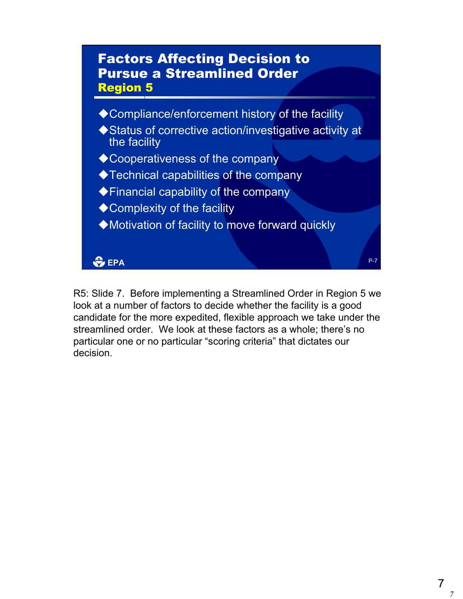

R5: Slide 7. Before implementing a Streamlined Order in Region 5 we look at a number of factors to decide whether the facility is a good candidate for the more expedited, flexible approach we take under the streamlined order. We look at these factors as a whole; there's no particular one or no particular "scoring criteria" that dictates our decision.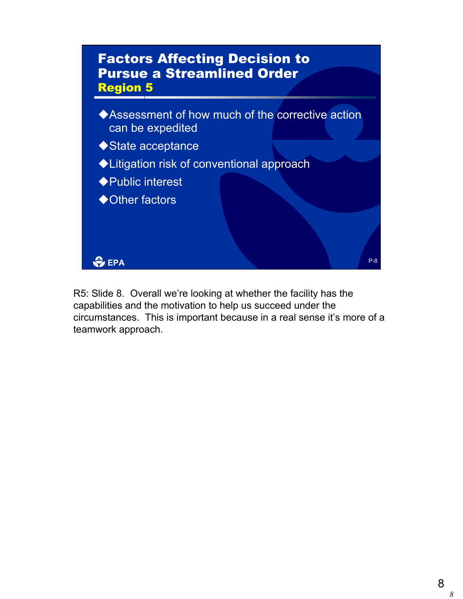

R5: Slide 8. Overall we're looking at whether the facility has the capabilities and the motivation to help us succeed under the circumstances. This is important because in a real sense it's more of a teamwork approach.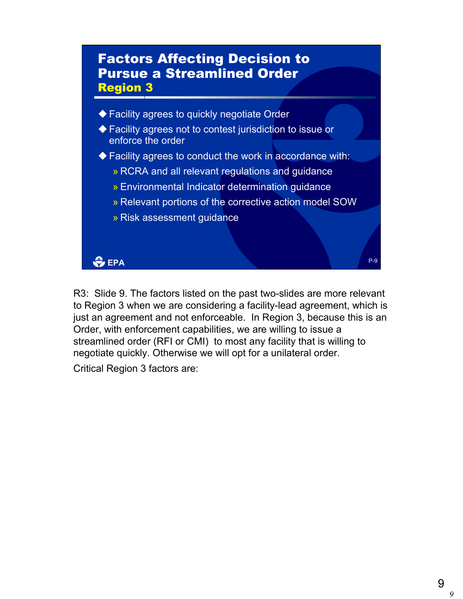

R3: Slide 9. The factors listed on the past two-slides are more relevant to Region 3 when we are considering a facility-lead agreement, which is just an agreement and not enforceable. In Region 3, because this is an Order, with enforcement capabilities, we are willing to issue a streamlined order (RFI or CMI) to most any facility that is willing to negotiate quickly. Otherwise we will opt for a unilateral order.

Critical Region 3 factors are:

*9*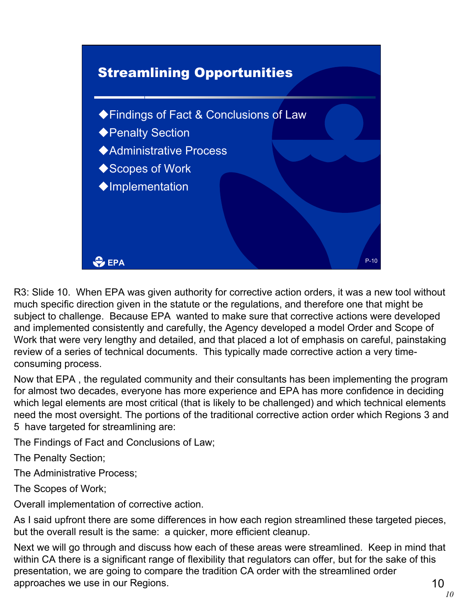

R3: Slide 10. When EPA was given authority for corrective action orders, it was a new tool without much specific direction given in the statute or the regulations, and therefore one that might be subject to challenge. Because EPA wanted to make sure that corrective actions were developed and implemented consistently and carefully, the Agency developed a model Order and Scope of Work that were very lengthy and detailed, and that placed a lot of emphasis on careful, painstaking review of a series of technical documents. This typically made corrective action a very timeconsuming process.

Now that EPA , the regulated community and their consultants has been implementing the program for almost two decades, everyone has more experience and EPA has more confidence in deciding which legal elements are most critical (that is likely to be challenged) and which technical elements need the most oversight. The portions of the traditional corrective action order which Regions 3 and 5 have targeted for streamlining are:

The Findings of Fact and Conclusions of Law;

The Penalty Section;

The Administrative Process;

The Scopes of Work;

Overall implementation of corrective action.

As I said upfront there are some differences in how each region streamlined these targeted pieces, but the overall result is the same: a quicker, more efficient cleanup.

Next we will go through and discuss how each of these areas were streamlined. Keep in mind that within CA there is a significant range of flexibility that regulators can offer, but for the sake of this presentation, we are going to compare the tradition CA order with the streamlined order approaches we use in our Regions. The set of the set of the set of the set of the set of the set of the set of the set of the set of the set of the set of the set of the set of the set of the set of the set of the set of t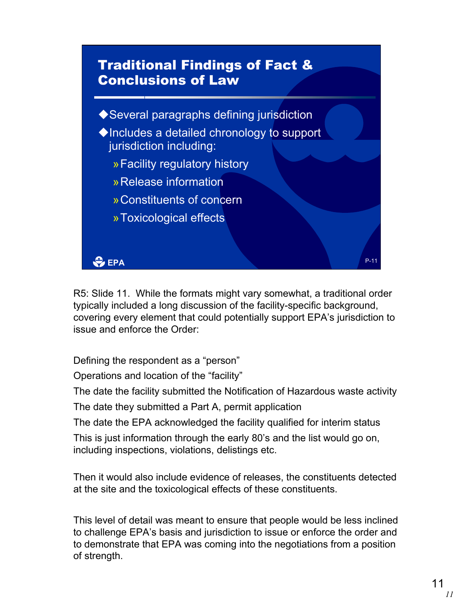

R5: Slide 11. While the formats might vary somewhat, a traditional order typically included a long discussion of the facility-specific background, covering every element that could potentially support EPA's jurisdiction to issue and enforce the Order:

Defining the respondent as a "person"

Operations and location of the "facility"

The date the facility submitted the Notification of Hazardous waste activity

The date they submitted a Part A, permit application

The date the EPA acknowledged the facility qualified for interim status

This is just information through the early 80's and the list would go on, including inspections, violations, delistings etc.

Then it would also include evidence of releases, the constituents detected at the site and the toxicological effects of these constituents.

This level of detail was meant to ensure that people would be less inclined to challenge EPA's basis and jurisdiction to issue or enforce the order and to demonstrate that EPA was coming into the negotiations from a position of strength.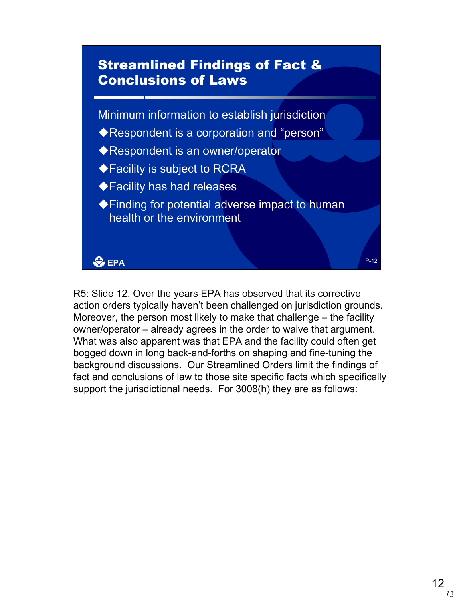

R5: Slide 12. Over the years EPA has observed that its corrective action orders typically haven't been challenged on jurisdiction grounds. Moreover, the person most likely to make that challenge  $-$  the facility owner/operator – already agrees in the order to waive that argument. What was also apparent was that EPA and the facility could often get bogged down in long back-and-forths on shaping and fine-tuning the background discussions. Our Streamlined Orders limit the findings of fact and conclusions of law to those site specific facts which specifically support the jurisdictional needs. For 3008(h) they are as follows: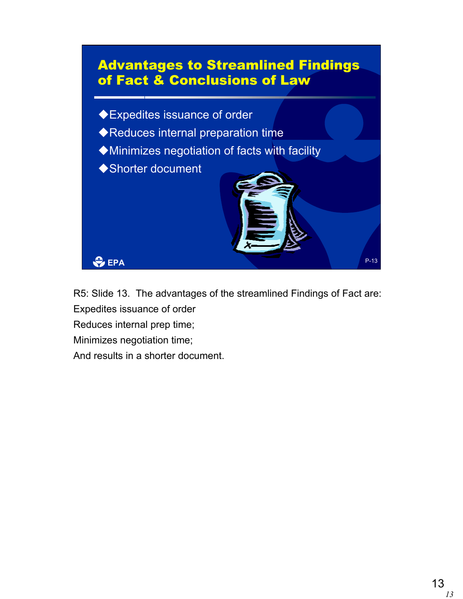

- ©Minimizes negotiation of facts with facility
- ◆Shorter document

R5: Slide 13. The advantages of the streamlined Findings of Fact are: Expedites issuance of order Reduces internal prep time;

Minimizes negotiation time;

**EPA** 

And results in a shorter document.

P-13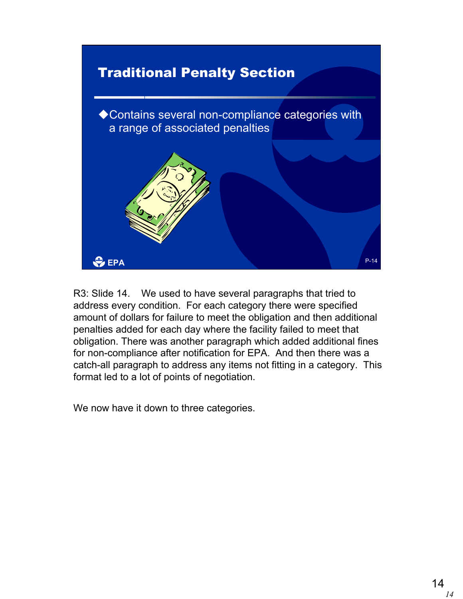

R3: Slide 14. We used to have several paragraphs that tried to address every condition. For each category there were specified amount of dollars for failure to meet the obligation and then additional penalties added for each day where the facility failed to meet that obligation. There was another paragraph which added additional fines for non-compliance after notification for EPA. And then there was a catch-all paragraph to address any items not fitting in a category. This format led to a lot of points of negotiation.

We now have it down to three categories.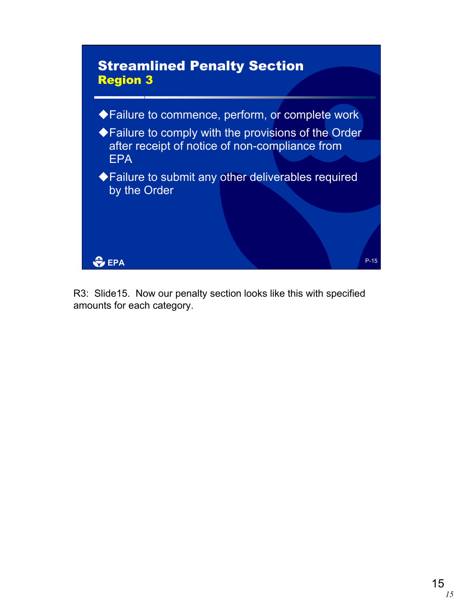

R3: Slide15. Now our penalty section looks like this with specified amounts for each category.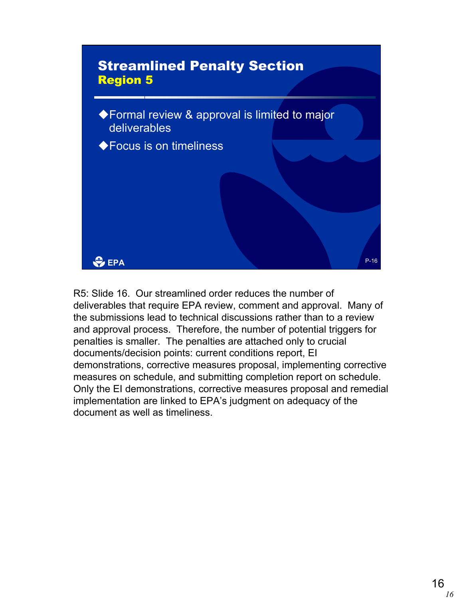

R5: Slide 16. Our streamlined order reduces the number of deliverables that require EPA review, comment and approval. Many of the submissions lead to technical discussions rather than to a review and approval process. Therefore, the number of potential triggers for penalties is smaller. The penalties are attached only to crucial documents/decision points: current conditions report, EI demonstrations, corrective measures proposal, implementing corrective measures on schedule, and submitting completion report on schedule. Only the EI demonstrations, corrective measures proposal and remedial implementation are linked to EPA's judgment on adequacy of the document as well as timeliness.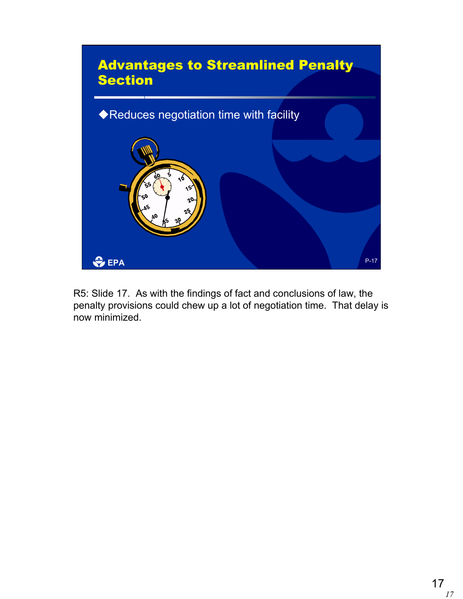

R5: Slide 17. As with the findings of fact and conclusions of law, the penalty provisions could chew up a lot of negotiation time. That delay is now minimized.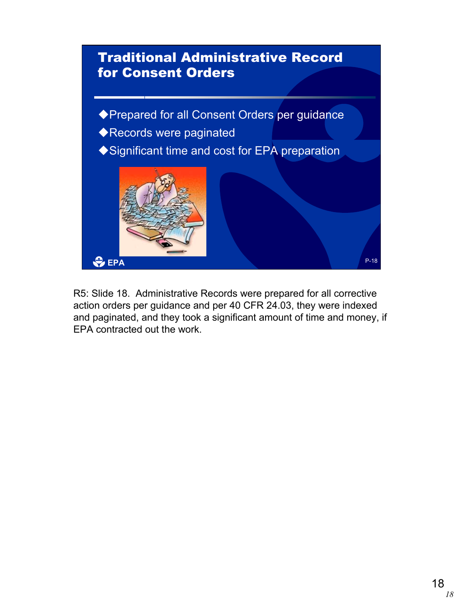

R5: Slide 18. Administrative Records were prepared for all corrective action orders per guidance and per 40 CFR 24.03, they were indexed and paginated, and they took a significant amount of time and money, if EPA contracted out the work.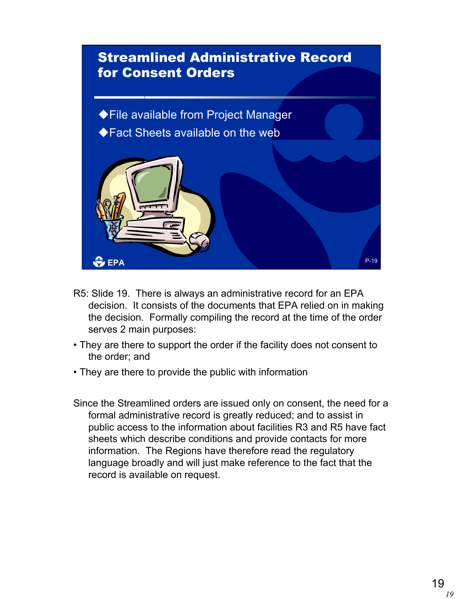

- R5: Slide 19. There is always an administrative record for an EPA decision. It consists of the documents that EPA relied on in making the decision. Formally compiling the record at the time of the order serves 2 main purposes:
- They are there to support the order if the facility does not consent to the order; and
- They are there to provide the public with information
- Since the Streamlined orders are issued only on consent, the need for a formal administrative record is greatly reduced; and to assist in public access to the information about facilities R3 and R5 have fact sheets which describe conditions and provide contacts for more information. The Regions have therefore read the regulatory language broadly and will just make reference to the fact that the record is available on request.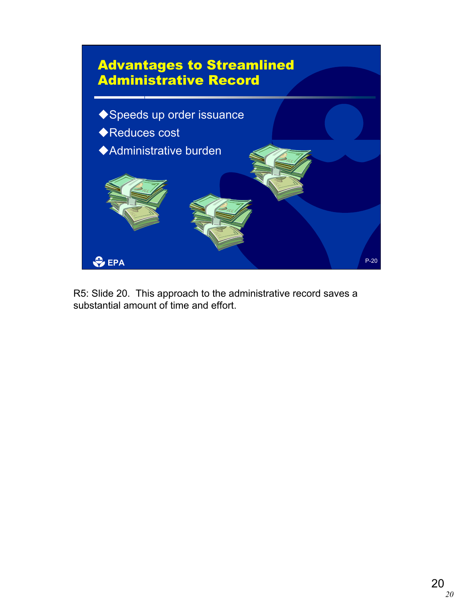

R5: Slide 20. This approach to the administrative record saves a substantial amount of time and effort.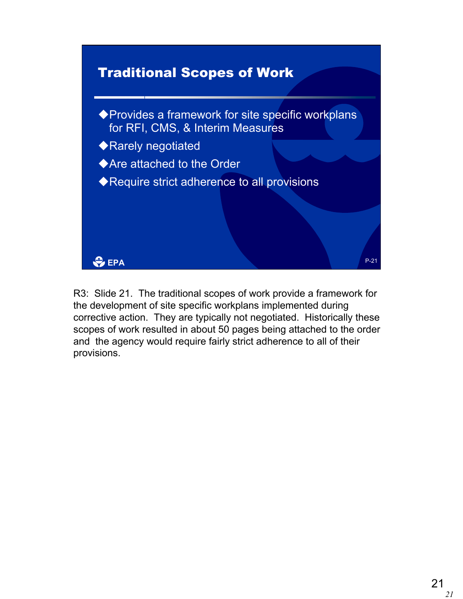

R3: Slide 21. The traditional scopes of work provide a framework for the development of site specific workplans implemented during corrective action. They are typically not negotiated. Historically these scopes of work resulted in about 50 pages being attached to the order and the agency would require fairly strict adherence to all of their provisions.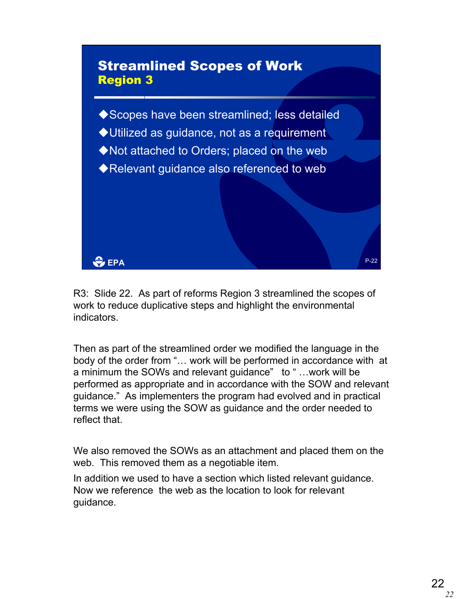

R3: Slide 22. As part of reforms Region 3 streamlined the scopes of work to reduce duplicative steps and highlight the environmental indicators.

Then as part of the streamlined order we modified the language in the body of the order from "... work will be performed in accordance with at a minimum the SOWs and relevant quidance" to "...work will be performed as appropriate and in accordance with the SOW and relevant guidance." As implementers the program had evolved and in practical terms we were using the SOW as guidance and the order needed to reflect that.

We also removed the SOWs as an attachment and placed them on the web. This removed them as a negotiable item.

In addition we used to have a section which listed relevant guidance. Now we reference the web as the location to look for relevant guidance.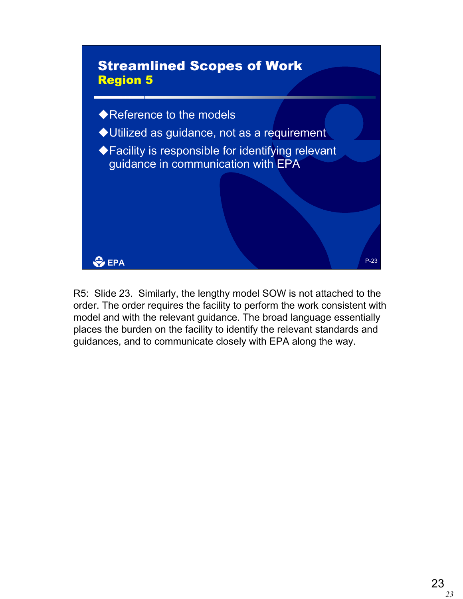

R5: Slide 23. Similarly, the lengthy model SOW is not attached to the order. The order requires the facility to perform the work consistent with model and with the relevant guidance. The broad language essentially places the burden on the facility to identify the relevant standards and guidances, and to communicate closely with EPA along the way.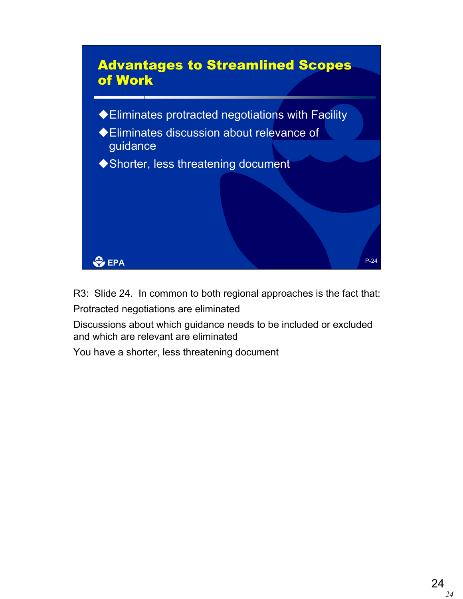

R3: Slide 24. In common to both regional approaches is the fact that: Protracted negotiations are eliminated

Discussions about which guidance needs to be included or excluded and which are relevant are eliminated

You have a shorter, less threatening document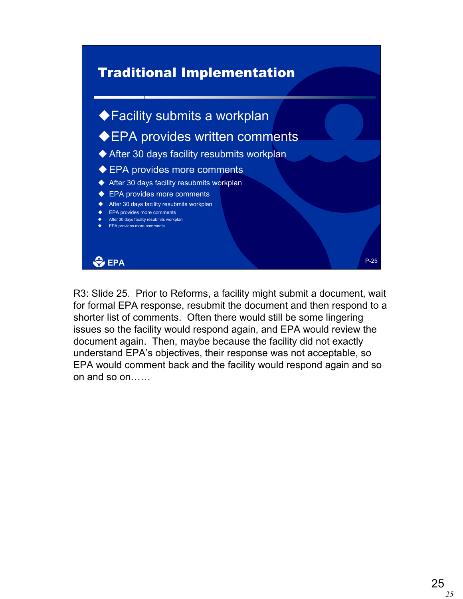

R3: Slide 25. Prior to Reforms, a facility might submit a document, wait for formal EPA response, resubmit the document and then respond to a shorter list of comments. Often there would still be some lingering issues so the facility would respond again, and EPA would review the document again. Then, maybe because the facility did not exactly understand EPA's objectives, their response was not acceptable, so EPA would comment back and the facility would respond again and so on and so on……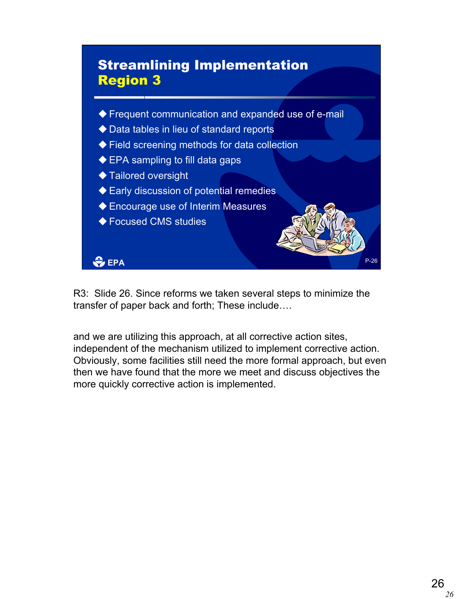

R3: Slide 26. Since reforms we taken several steps to minimize the transfer of paper back and forth; These include….

and we are utilizing this approach, at all corrective action sites, independent of the mechanism utilized to implement corrective action. Obviously, some facilities still need the more formal approach, but even then we have found that the more we meet and discuss objectives the more quickly corrective action is implemented.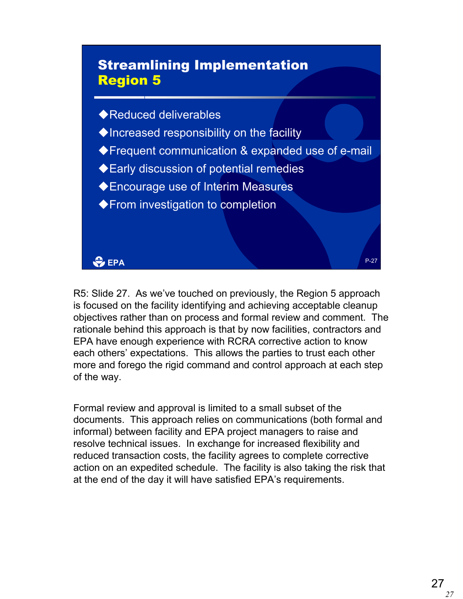

R5: Slide 27. As we've touched on previously, the Region 5 approach is focused on the facility identifying and achieving acceptable cleanup objectives rather than on process and formal review and comment. The rationale behind this approach is that by now facilities, contractors and EPA have enough experience with RCRA corrective action to know each others' expectations. This allows the parties to trust each other more and forego the rigid command and control approach at each step of the way.

Formal review and approval is limited to a small subset of the documents. This approach relies on communications (both formal and informal) between facility and EPA project managers to raise and resolve technical issues. In exchange for increased flexibility and reduced transaction costs, the facility agrees to complete corrective action on an expedited schedule. The facility is also taking the risk that at the end of the day it will have satisfied EPA's requirements.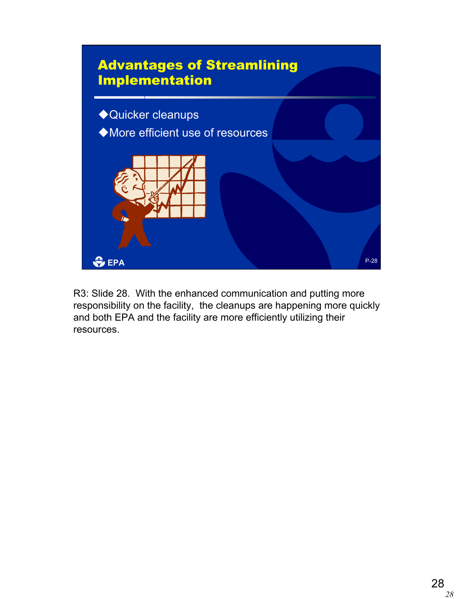

R3: Slide 28. With the enhanced communication and putting more responsibility on the facility, the cleanups are happening more quickly and both EPA and the facility are more efficiently utilizing their resources.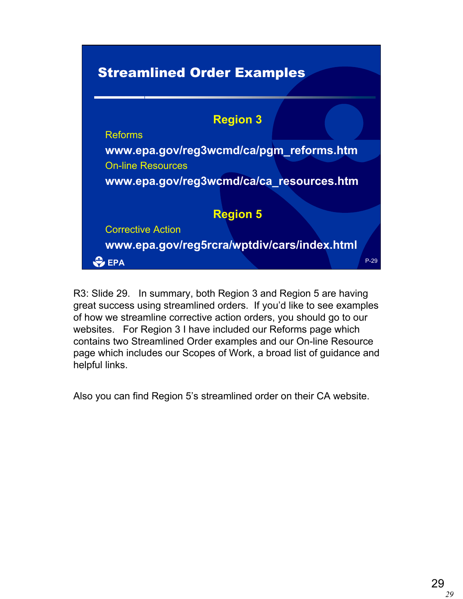## Streamlined Order Examples

## **Region 3**

## Reforms

**www.epa.gov/reg3wcmd/ca/pgm\_reforms.htm**  On-line Resources

**www.epa.gov/reg3wcmd/ca/ca\_resources.htm** 

## **Region 5**

Corrective Action

**EPA** 

**www.epa.gov/reg5rcra/wptdiv/cars/index.html** 

R3: Slide 29. In summary, both Region 3 and Region 5 are having great success using streamlined orders. If you'd like to see examples of how we streamline corrective action orders, you should go to our websites. For Region 3 I have included our Reforms page which contains two Streamlined Order examples and our On-line Resource page which includes our Scopes of Work, a broad list of guidance and helpful links.

Also you can find Region 5's streamlined order on their CA website.

P-29